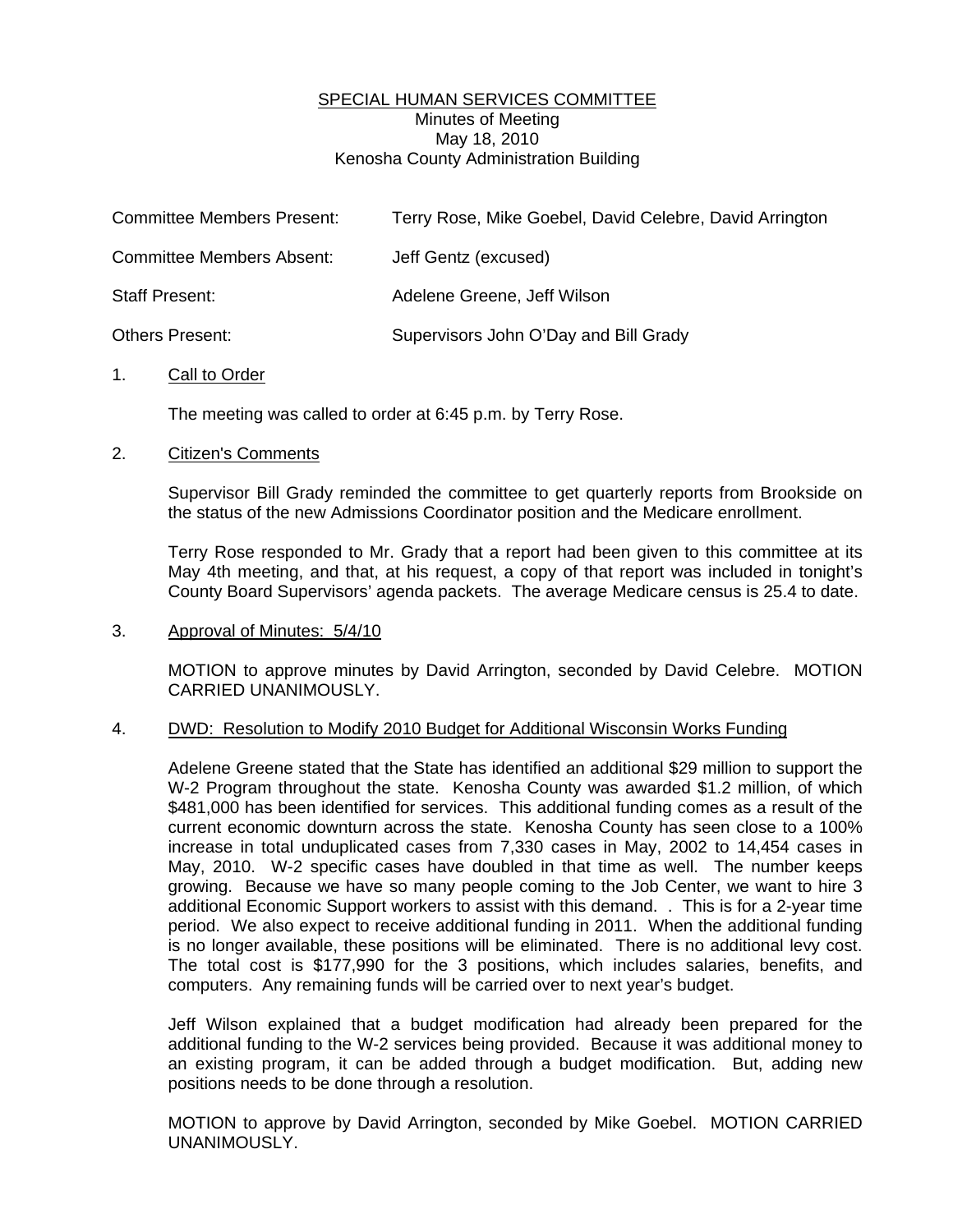## SPECIAL HUMAN SERVICES COMMITTEE Minutes of Meeting May 18, 2010 Kenosha County Administration Building

| <b>Committee Members Present:</b> | Terry Rose, Mike Goebel, David Celebre, David Arrington |
|-----------------------------------|---------------------------------------------------------|
| Committee Members Absent:         | Jeff Gentz (excused)                                    |
| Staff Present:                    | Adelene Greene, Jeff Wilson                             |
| <b>Others Present:</b>            | Supervisors John O'Day and Bill Grady                   |

#### 1. Call to Order

The meeting was called to order at 6:45 p.m. by Terry Rose.

#### 2. Citizen's Comments

 Supervisor Bill Grady reminded the committee to get quarterly reports from Brookside on the status of the new Admissions Coordinator position and the Medicare enrollment.

 Terry Rose responded to Mr. Grady that a report had been given to this committee at its May 4th meeting, and that, at his request, a copy of that report was included in tonight's County Board Supervisors' agenda packets. The average Medicare census is 25.4 to date.

### 3. Approval of Minutes: 5/4/10

 MOTION to approve minutes by David Arrington, seconded by David Celebre. MOTION CARRIED UNANIMOUSLY.

### 4. DWD: Resolution to Modify 2010 Budget for Additional Wisconsin Works Funding

 Adelene Greene stated that the State has identified an additional \$29 million to support the W-2 Program throughout the state. Kenosha County was awarded \$1.2 million, of which \$481,000 has been identified for services. This additional funding comes as a result of the current economic downturn across the state. Kenosha County has seen close to a 100% increase in total unduplicated cases from 7,330 cases in May, 2002 to 14,454 cases in May, 2010. W-2 specific cases have doubled in that time as well. The number keeps growing. Because we have so many people coming to the Job Center, we want to hire 3 additional Economic Support workers to assist with this demand. . This is for a 2-year time period. We also expect to receive additional funding in 2011. When the additional funding is no longer available, these positions will be eliminated. There is no additional levy cost. The total cost is \$177,990 for the 3 positions, which includes salaries, benefits, and computers. Any remaining funds will be carried over to next year's budget.

 Jeff Wilson explained that a budget modification had already been prepared for the additional funding to the W-2 services being provided. Because it was additional money to an existing program, it can be added through a budget modification. But, adding new positions needs to be done through a resolution.

 MOTION to approve by David Arrington, seconded by Mike Goebel. MOTION CARRIED UNANIMOUSLY.